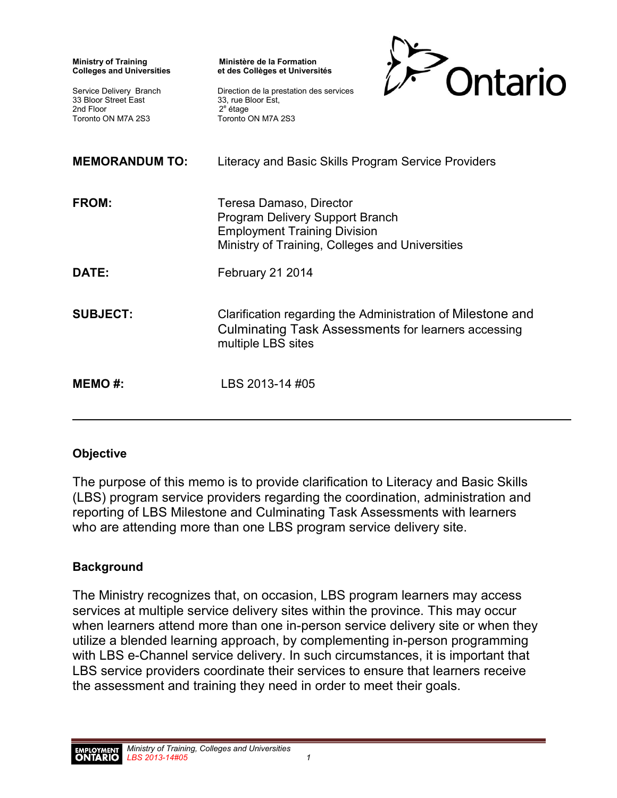| <b>Ministry of Training</b><br><b>Colleges and Universities</b><br>Service Delivery Branch<br>33 Bloor Street East<br>2nd Floor<br>Toronto ON M7A 2S3 | Ministère de la Formation<br>et des Collèges et Universités<br>Ontario<br>Direction de la prestation des services<br>33, rue Bloor Est,<br>$2e$ étage<br>Toronto ON M7A 2S3 |
|-------------------------------------------------------------------------------------------------------------------------------------------------------|-----------------------------------------------------------------------------------------------------------------------------------------------------------------------------|
| <b>MEMORANDUM TO:</b>                                                                                                                                 | Literacy and Basic Skills Program Service Providers                                                                                                                         |
| FROM:                                                                                                                                                 | Teresa Damaso, Director<br><b>Program Delivery Support Branch</b><br><b>Employment Training Division</b><br>Ministry of Training, Colleges and Universities                 |
| DATE:                                                                                                                                                 | February 21 2014                                                                                                                                                            |
| <b>SUBJECT:</b>                                                                                                                                       | Clarification regarding the Administration of Milestone and<br>Culminating Task Assessments for learners accessing<br>multiple LBS sites                                    |
| <b>MEMO#:</b>                                                                                                                                         | LBS 2013-14 #05                                                                                                                                                             |

## **Objective**

The purpose of this memo is to provide clarification to Literacy and Basic Skills (LBS) program service providers regarding the coordination, administration and reporting of LBS Milestone and Culminating Task Assessments with learners who are attending more than one LBS program service delivery site.

## **Background**

The Ministry recognizes that, on occasion, LBS program learners may access services at multiple service delivery sites within the province. This may occur when learners attend more than one in-person service delivery site or when they utilize a blended learning approach, by complementing in-person programming with LBS e-Channel service delivery. In such circumstances, it is important that LBS service providers coordinate their services to ensure that learners receive the assessment and training they need in order to meet their goals.